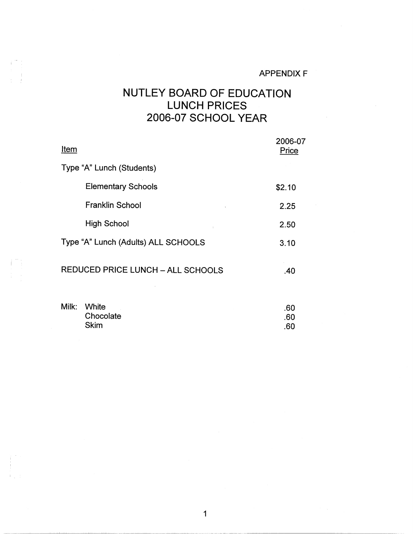## APPENDIX F

 $\mathcal{L}_{\mathcal{L}}$ 

## NUTLEY BOARD OF EDUCATION LUNCH PRICES 2006-07 SCHOOL YEAR

| Item                                     | 2006-07<br>Price |
|------------------------------------------|------------------|
| Type "A" Lunch (Students)                |                  |
| <b>Elementary Schools</b>                | \$2.10           |
| <b>Franklin School</b>                   | 2.25             |
| <b>High School</b>                       | 2.50             |
| Type "A" Lunch (Adults) ALL SCHOOLS      | 3.10             |
| <b>REDUCED PRICE LUNCH - ALL SCHOOLS</b> | .40              |

| Milk: White | .60 |
|-------------|-----|
| Chocolate   | .60 |
| Skim        | .60 |
|             |     |

 $i^*$  :

行为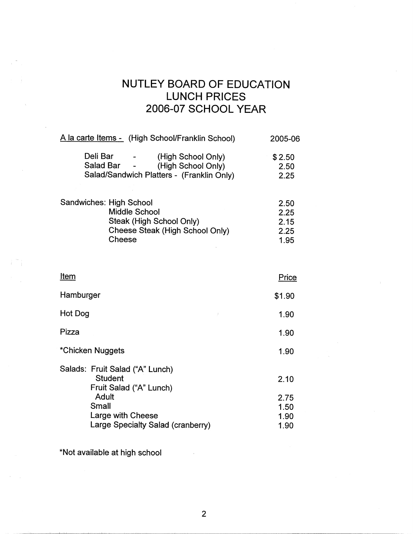## NUTLEY BOARD OF EDUCATION LUNCH PRICES 2006-07 SCHOOL YEAR

2.25 1.95

1.90

| A la carte Items - (High School/Franklin School)                                                                 | 2005-06                |
|------------------------------------------------------------------------------------------------------------------|------------------------|
| Deli Bar<br>(High School Only)<br>Salad Bar -<br>(High School Only)<br>Salad/Sandwich Platters - (Franklin Only) | \$2.50<br>2.50<br>2.25 |
| Sandwiches: High School<br><b>Middle School</b><br>Steak (High School Only)                                      | 2.50<br>2.25<br>2.15   |

Cheese Steak (High School Only)

Cheese

| <u>Item</u> | Price  |
|-------------|--------|
| Hamburger   | \$1.90 |
| Hot Dog     | 1.90   |

\*Chicken Nuggets 1.90

Salads: Fruit Salad ("A" Lunch) **Student** Fruit Salad ("A" Lunch) Adult Small Large with Cheese Large Specialty Salad (cranberry) 2.10 2.75 1.50 1.90 1.90

\*Not available at high school

Pizza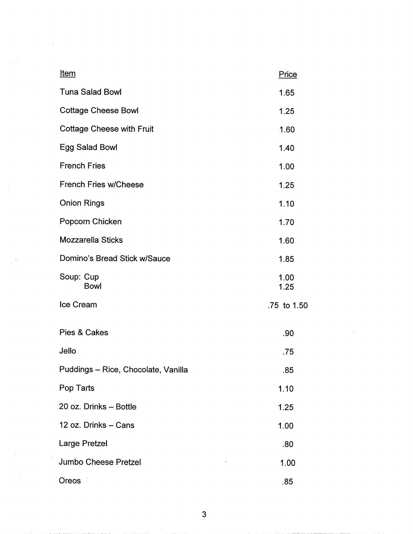| <u>Item</u>                         | Price        |
|-------------------------------------|--------------|
| <b>Tuna Salad Bowl</b>              | 1.65         |
| <b>Cottage Cheese Bowl</b>          | 1.25         |
| <b>Cottage Cheese with Fruit</b>    | 1.60         |
| Egg Salad Bowl                      | 1.40         |
| <b>French Fries</b>                 | 1.00         |
| <b>French Fries w/Cheese</b>        | 1.25         |
| <b>Onion Rings</b>                  | 1.10         |
| Popcorn Chicken                     | 1.70         |
| <b>Mozzarella Sticks</b>            | 1.60         |
| Domino's Bread Stick w/Sauce        | 1.85         |
| Soup: Cup<br><b>Bowl</b>            | 1.00<br>1.25 |
| Ice Cream                           | .75 to 1.50  |
| Pies & Cakes                        | .90          |
| Jello                               | .75          |
| Puddings - Rice, Chocolate, Vanilla | .85          |
| Pop Tarts                           | 1.10         |
| 20 oz. Drinks - Bottle              | 1.25         |
| 12 oz. Drinks - Cans                | 1.00         |
| Large Pretzel                       | .80          |
| Jumbo Cheese Pretzel                | 1.00         |
| Oreos                               | .85          |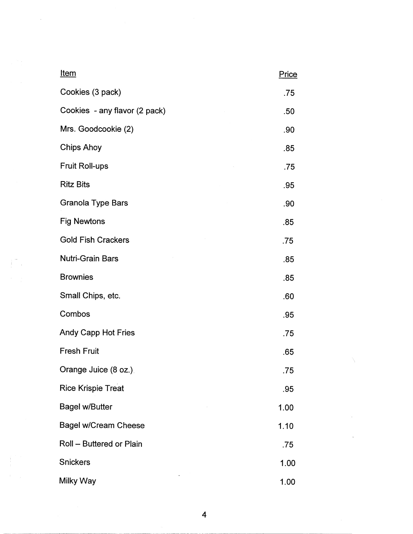| <u>Item</u>                   | Price |
|-------------------------------|-------|
| Cookies (3 pack)              | .75   |
| Cookies - any flavor (2 pack) | .50   |
| Mrs. Goodcookie (2)           | .90   |
| <b>Chips Ahoy</b>             | .85   |
| <b>Fruit Roll-ups</b>         | .75   |
| <b>Ritz Bits</b>              | .95   |
| <b>Granola Type Bars</b>      | .90   |
| <b>Fig Newtons</b>            | .85   |
| <b>Gold Fish Crackers</b>     | .75   |
| Nutri-Grain Bars              | .85   |
| <b>Brownies</b>               | .85   |
| Small Chips, etc.             | .60   |
| Combos                        | .95   |
| <b>Andy Capp Hot Fries</b>    | .75   |
| Fresh Fruit                   | .65   |
| Orange Juice (8 oz.).         | .75   |
| <b>Rice Krispie Treat</b>     | .95   |
| <b>Bagel w/Butter</b>         | 1.00  |
| <b>Bagel w/Cream Cheese</b>   | 1.10  |
| Roll - Buttered or Plain      | .75   |
| <b>Snickers</b>               | 1.00  |
| Milky Way                     | 1.00  |

 $\label{eq:2.1} \frac{1}{\sqrt{2\pi}}\sum_{i=1}^n\frac{1}{\sqrt{2\pi}}\sum_{i=1}^n\frac{1}{\sqrt{2\pi}}\sum_{i=1}^n\frac{1}{\sqrt{2\pi}}\sum_{i=1}^n\frac{1}{\sqrt{2\pi}}\sum_{i=1}^n\frac{1}{\sqrt{2\pi}}\sum_{i=1}^n\frac{1}{\sqrt{2\pi}}\sum_{i=1}^n\frac{1}{\sqrt{2\pi}}\sum_{i=1}^n\frac{1}{\sqrt{2\pi}}\sum_{i=1}^n\frac{1}{\sqrt{2\pi}}\sum_{i=1}^n\$ 

 $\int_{0}^{\frac{\pi}{2}}\left(\frac{1}{\sqrt{2}}\right)^{2}dx$ 

 $\begin{aligned} \frac{d}{dt} &\geq \frac{1}{2} \left( \frac{1}{2} \right) \left( \frac{1}{2} \right) \\ &\geq \frac{1}{2} \left( \frac{1}{2} \right) \left( \frac{1}{2} \right) \left( \frac{1}{2} \right) \left( \frac{1}{2} \right) \\ &\geq \frac{1}{2} \left( \frac{1}{2} \right) \left( \frac{1}{2} \right) \left( \frac{1}{2} \right) \left( \frac{1}{2} \right) \left( \frac{1}{2} \right) \left( \frac{1}{2} \right) \left( \frac{1}{2} \right) \left( \$ 

 $\label{eq:2.1} \frac{1}{\sqrt{2\pi}}\int_{0}^{\infty}\frac{1}{\sqrt{2\pi}}\left(\frac{1}{\sqrt{2\pi}}\right)^{2\alpha} \frac{1}{\sqrt{2\pi}}\int_{0}^{\infty}\frac{1}{\sqrt{2\pi}}\left(\frac{1}{\sqrt{2\pi}}\right)^{\alpha} \frac{1}{\sqrt{2\pi}}\frac{1}{\sqrt{2\pi}}\int_{0}^{\infty}\frac{1}{\sqrt{2\pi}}\frac{1}{\sqrt{2\pi}}\frac{1}{\sqrt{2\pi}}\frac{1}{\sqrt{2\pi}}\frac{1}{\sqrt{2\pi}}\frac{1}{\sqrt{2\$